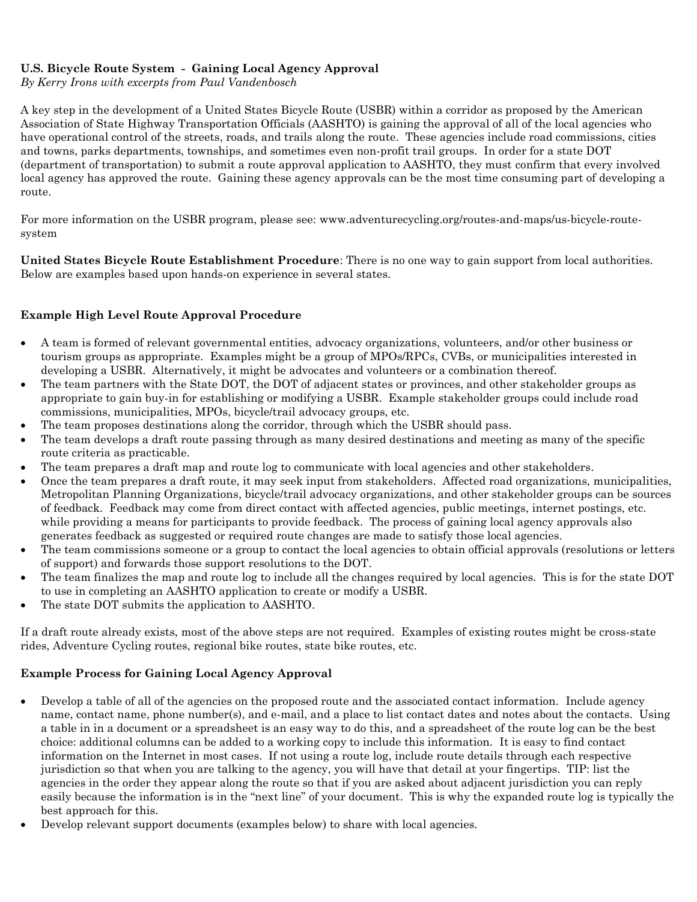# **U.S. Bicycle Route System - Gaining Local Agency Approval**

*By Kerry Irons with excerpts from Paul Vandenbosch*

A key step in the development of a United States Bicycle Route (USBR) within a corridor as proposed by the American Association of State Highway Transportation Officials (AASHTO) is gaining the approval of all of the local agencies who have operational control of the streets, roads, and trails along the route. These agencies include road commissions, cities and towns, parks departments, townships, and sometimes even non-profit trail groups. In order for a state DOT (department of transportation) to submit a route approval application to AASHTO, they must confirm that every involved local agency has approved the route. Gaining these agency approvals can be the most time consuming part of developing a route.

For more information on the USBR program, please see: www.adventurecycling.org/routes-and-maps/us-bicycle-routesystem

**United States Bicycle Route Establishment Procedure**: There is no one way to gain support from local authorities. Below are examples based upon hands-on experience in several states.

## **Example High Level Route Approval Procedure**

- A team is formed of relevant governmental entities, advocacy organizations, volunteers, and/or other business or tourism groups as appropriate. Examples might be a group of MPOs/RPCs, CVBs, or municipalities interested in developing a USBR. Alternatively, it might be advocates and volunteers or a combination thereof.
- The team partners with the State DOT, the DOT of adjacent states or provinces, and other stakeholder groups as appropriate to gain buy-in for establishing or modifying a USBR. Example stakeholder groups could include road commissions, municipalities, MPOs, bicycle/trail advocacy groups, etc.
- The team proposes destinations along the corridor, through which the USBR should pass.
- The team develops a draft route passing through as many desired destinations and meeting as many of the specific route criteria as practicable.
- The team prepares a draft map and route log to communicate with local agencies and other stakeholders.
- Once the team prepares a draft route, it may seek input from stakeholders. Affected road organizations, municipalities, Metropolitan Planning Organizations, bicycle/trail advocacy organizations, and other stakeholder groups can be sources of feedback. Feedback may come from direct contact with affected agencies, public meetings, internet postings, etc. while providing a means for participants to provide feedback. The process of gaining local agency approvals also generates feedback as suggested or required route changes are made to satisfy those local agencies.
- The team commissions someone or a group to contact the local agencies to obtain official approvals (resolutions or letters of support) and forwards those support resolutions to the DOT.
- The team finalizes the map and route log to include all the changes required by local agencies. This is for the state DOT to use in completing an AASHTO application to create or modify a USBR.
- The state DOT submits the application to AASHTO.

If a draft route already exists, most of the above steps are not required. Examples of existing routes might be cross-state rides, Adventure Cycling routes, regional bike routes, state bike routes, etc.

## **Example Process for Gaining Local Agency Approval**

- Develop a table of all of the agencies on the proposed route and the associated contact information. Include agency name, contact name, phone number(s), and e-mail, and a place to list contact dates and notes about the contacts. Using a table in in a document or a spreadsheet is an easy way to do this, and a spreadsheet of the route log can be the best choice: additional columns can be added to a working copy to include this information. It is easy to find contact information on the Internet in most cases. If not using a route log, include route details through each respective jurisdiction so that when you are talking to the agency, you will have that detail at your fingertips. TIP: list the agencies in the order they appear along the route so that if you are asked about adjacent jurisdiction you can reply easily because the information is in the "next line" of your document. This is why the expanded route log is typically the best approach for this.
- Develop relevant support documents (examples below) to share with local agencies.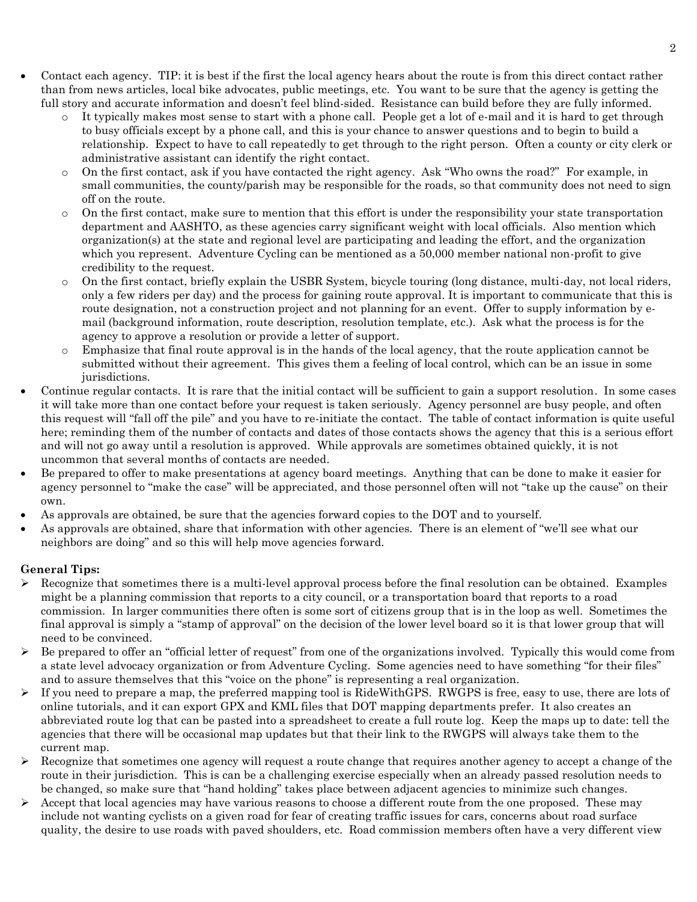- Contact each agency. TIP: it is best if the first the local agency hears about the route is from this direct contact rather than from news articles, local bike advocates, public meetings, etc. You want to be sure that the agency is getting the full story and accurate information and doesn't feel blind-sided. Resistance can build before they are fully informed.
	- It typically makes most sense to start with a phone call. People get a lot of e-mail and it is hard to get through to busy officials except by a phone call, and this is your chance to answer questions and to begin to build a relationship. Expect to have to call repeatedly to get through to the right person. Often a county or city clerk or administrative assistant can identify the right contact.
	- o On the first contact, ask if you have contacted the right agency. Ask "Who owns the road?" For example, in small communities, the county/parish may be responsible for the roads, so that community does not need to sign off on the route.
	- $\circ$  On the first contact, make sure to mention that this effort is under the responsibility your state transportation department and AASHTO, as these agencies carry significant weight with local officials. Also mention which organization(s) at the state and regional level are participating and leading the effort, and the organization which you represent. Adventure Cycling can be mentioned as a 50,000 member national non-profit to give credibility to the request.
	- o On the first contact, briefly explain the USBR System, bicycle touring (long distance, multi-day, not local riders, only a few riders per day) and the process for gaining route approval. It is important to communicate that this is route designation, not a construction project and not planning for an event. Offer to supply information by email (background information, route description, resolution template, etc.). Ask what the process is for the agency to approve a resolution or provide a letter of support.
	- o Emphasize that final route approval is in the hands of the local agency, that the route application cannot be submitted without their agreement. This gives them a feeling of local control, which can be an issue in some jurisdictions.
- Continue regular contacts. It is rare that the initial contact will be sufficient to gain a support resolution. In some cases it will take more than one contact before your request is taken seriously. Agency personnel are busy people, and often this request will "fall off the pile" and you have to re-initiate the contact. The table of contact information is quite useful here; reminding them of the number of contacts and dates of those contacts shows the agency that this is a serious effort and will not go away until a resolution is approved. While approvals are sometimes obtained quickly, it is not uncommon that several months of contacts are needed.
- Be prepared to offer to make presentations at agency board meetings. Anything that can be done to make it easier for agency personnel to "make the case" will be appreciated, and those personnel often will not "take up the cause" on their own.
- As approvals are obtained, be sure that the agencies forward copies to the DOT and to yourself.
- As approvals are obtained, share that information with other agencies. There is an element of "we'll see what our neighbors are doing" and so this will help move agencies forward.

# **General Tips:**

- $\triangleright$  Recognize that sometimes there is a multi-level approval process before the final resolution can be obtained. Examples might be a planning commission that reports to a city council, or a transportation board that reports to a road commission. In larger communities there often is some sort of citizens group that is in the loop as well. Sometimes the final approval is simply a "stamp of approval" on the decision of the lower level board so it is that lower group that will need to be convinced.
- $\triangleright$  Be prepared to offer an "official letter of request" from one of the organizations involved. Typically this would come from a state level advocacy organization or from Adventure Cycling. Some agencies need to have something "for their files" and to assure themselves that this "voice on the phone" is representing a real organization.
- If you need to prepare a map, the preferred mapping tool is RideWithGPS. RWGPS is free, easy to use, there are lots of online tutorials, and it can export GPX and KML files that DOT mapping departments prefer. It also creates an abbreviated route log that can be pasted into a spreadsheet to create a full route log. Keep the maps up to date: tell the agencies that there will be occasional map updates but that their link to the RWGPS will always take them to the current map.
- Recognize that sometimes one agency will request a route change that requires another agency to accept a change of the route in their jurisdiction. This is can be a challenging exercise especially when an already passed resolution needs to be changed, so make sure that "hand holding" takes place between adjacent agencies to minimize such changes.
- Accept that local agencies may have various reasons to choose a different route from the one proposed. These may include not wanting cyclists on a given road for fear of creating traffic issues for cars, concerns about road surface quality, the desire to use roads with paved shoulders, etc. Road commission members often have a very different view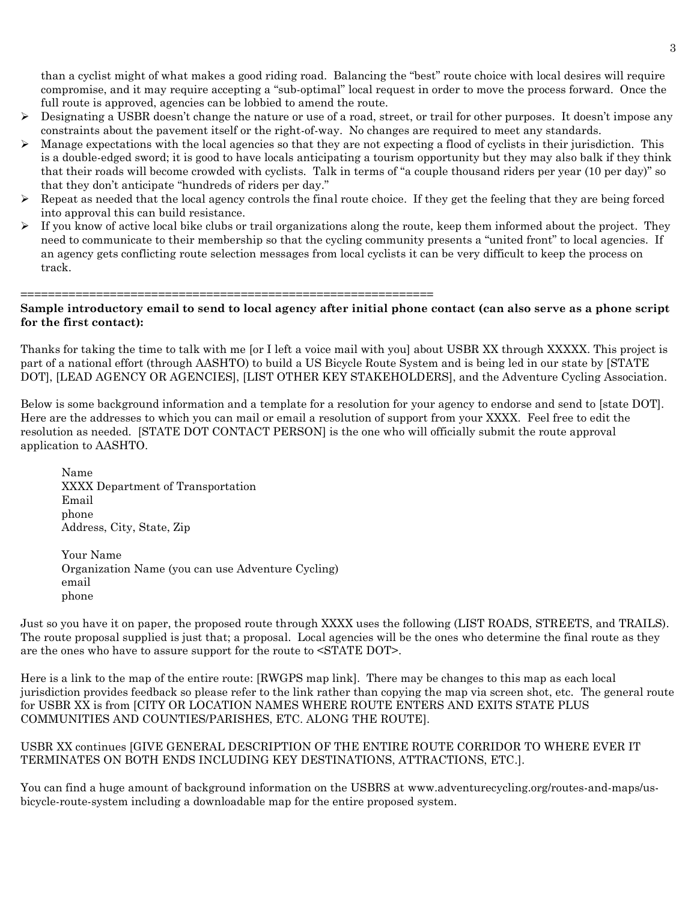than a cyclist might of what makes a good riding road. Balancing the "best" route choice with local desires will require compromise, and it may require accepting a "sub-optimal" local request in order to move the process forward. Once the full route is approved, agencies can be lobbied to amend the route.

- $\triangleright$  Designating a USBR doesn't change the nature or use of a road, street, or trail for other purposes. It doesn't impose any constraints about the pavement itself or the right-of-way. No changes are required to meet any standards.
- Manage expectations with the local agencies so that they are not expecting a flood of cyclists in their jurisdiction. This is a double-edged sword; it is good to have locals anticipating a tourism opportunity but they may also balk if they think that their roads will become crowded with cyclists. Talk in terms of "a couple thousand riders per year (10 per day)" so that they don't anticipate "hundreds of riders per day."
- $\triangleright$  Repeat as needed that the local agency controls the final route choice. If they get the feeling that they are being forced into approval this can build resistance.
- $\triangleright$  If you know of active local bike clubs or trail organizations along the route, keep them informed about the project. They need to communicate to their membership so that the cycling community presents a "united front" to local agencies. If an agency gets conflicting route selection messages from local cyclists it can be very difficult to keep the process on track.

============================================================

## **Sample introductory email to send to local agency after initial phone contact (can also serve as a phone script for the first contact):**

Thanks for taking the time to talk with me [or I left a voice mail with you] about USBR XX through XXXXX. This project is part of a national effort (through AASHTO) to build a US Bicycle Route System and is being led in our state by [STATE DOT], [LEAD AGENCY OR AGENCIES], [LIST OTHER KEY STAKEHOLDERS], and the Adventure Cycling Association.

Below is some background information and a template for a resolution for your agency to endorse and send to [state DOT]. Here are the addresses to which you can mail or email a resolution of support from your XXXX. Feel free to edit the resolution as needed. [STATE DOT CONTACT PERSON] is the one who will officially submit the route approval application to AASHTO.

Name XXXX Department of Transportation Email phone Address, City, State, Zip

Your Name Organization Name (you can use Adventure Cycling) email phone

Just so you have it on paper, the proposed route through XXXX uses the following (LIST ROADS, STREETS, and TRAILS). The route proposal supplied is just that; a proposal. Local agencies will be the ones who determine the final route as they are the ones who have to assure support for the route to <STATE DOT>.

Here is a link to the map of the entire route: [RWGPS map link]. There may be changes to this map as each local jurisdiction provides feedback so please refer to the link rather than copying the map via screen shot, etc. The general route for USBR XX is from [CITY OR LOCATION NAMES WHERE ROUTE ENTERS AND EXITS STATE PLUS COMMUNITIES AND COUNTIES/PARISHES, ETC. ALONG THE ROUTE].

## USBR XX continues [GIVE GENERAL DESCRIPTION OF THE ENTIRE ROUTE CORRIDOR TO WHERE EVER IT TERMINATES ON BOTH ENDS INCLUDING KEY DESTINATIONS, ATTRACTIONS, ETC.].

You can find a huge amount of background information on the USBRS at www.adventurecycling.org/routes-and-maps/usbicycle-route-system including a downloadable map for the entire proposed system.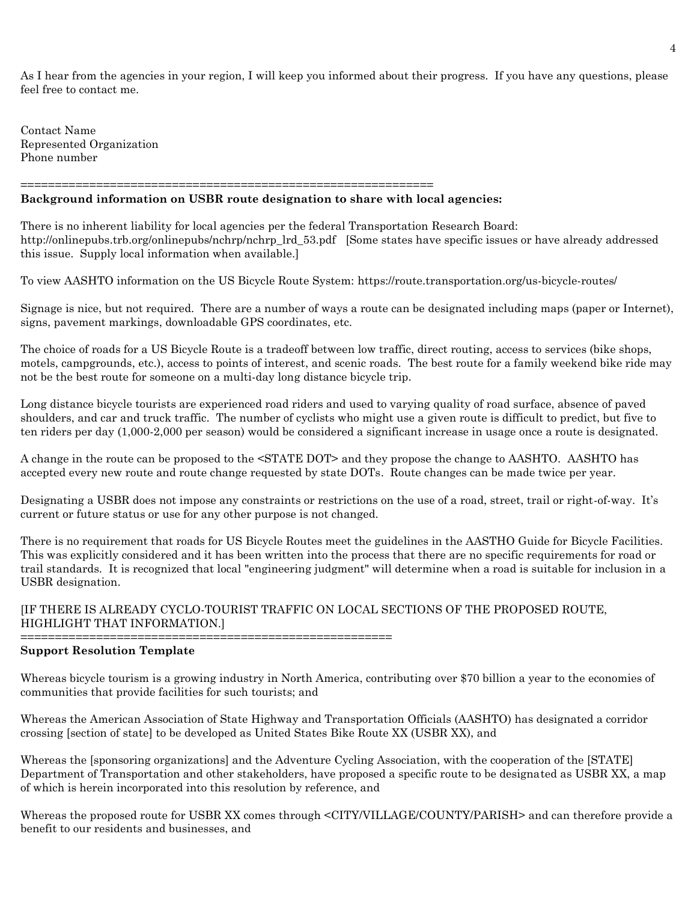As I hear from the agencies in your region, I will keep you informed about their progress. If you have any questions, please feel free to contact me.

Contact Name Represented Organization Phone number

#### ============================================================ **Background information on USBR route designation to share with local agencies:**

There is no inherent liability for local agencies per the federal Transportation Research Board: http://onlinepubs.trb.org/onlinepubs/nchrp/nchrp\_lrd\_53.pdf [Some states have specific issues or have already addressed this issue. Supply local information when available.]

To view AASHTO information on the US Bicycle Route System: https://route.transportation.org/us-bicycle-routes/

Signage is nice, but not required. There are a number of ways a route can be designated including maps (paper or Internet), signs, pavement markings, downloadable GPS coordinates, etc.

The choice of roads for a US Bicycle Route is a tradeoff between low traffic, direct routing, access to services (bike shops, motels, campgrounds, etc.), access to points of interest, and scenic roads. The best route for a family weekend bike ride may not be the best route for someone on a multi-day long distance bicycle trip.

Long distance bicycle tourists are experienced road riders and used to varying quality of road surface, absence of paved shoulders, and car and truck traffic. The number of cyclists who might use a given route is difficult to predict, but five to ten riders per day (1,000-2,000 per season) would be considered a significant increase in usage once a route is designated.

A change in the route can be proposed to the <STATE DOT> and they propose the change to AASHTO. AASHTO has accepted every new route and route change requested by state DOTs. Route changes can be made twice per year.

Designating a USBR does not impose any constraints or restrictions on the use of a road, street, trail or right-of-way. It's current or future status or use for any other purpose is not changed.

There is no requirement that roads for US Bicycle Routes meet the guidelines in the AASTHO Guide for Bicycle Facilities. This was explicitly considered and it has been written into the process that there are no specific requirements for road or trail standards. It is recognized that local "engineering judgment" will determine when a road is suitable for inclusion in a USBR designation.

## [IF THERE IS ALREADY CYCLO-TOURIST TRAFFIC ON LOCAL SECTIONS OF THE PROPOSED ROUTE, HIGHLIGHT THAT INFORMATION.] ======================================================

### **Support Resolution Template**

Whereas bicycle tourism is a growing industry in North America, contributing over \$70 billion a year to the economies of communities that provide facilities for such tourists; and

Whereas the American Association of State Highway and Transportation Officials (AASHTO) has designated a corridor crossing [section of state] to be developed as United States Bike Route XX (USBR XX), and

Whereas the [sponsoring organizations] and the Adventure Cycling Association, with the cooperation of the [STATE] Department of Transportation and other stakeholders, have proposed a specific route to be designated as USBR XX, a map of which is herein incorporated into this resolution by reference, and

Whereas the proposed route for USBR XX comes through <CITY/VILLAGE/COUNTY/PARISH> and can therefore provide a benefit to our residents and businesses, and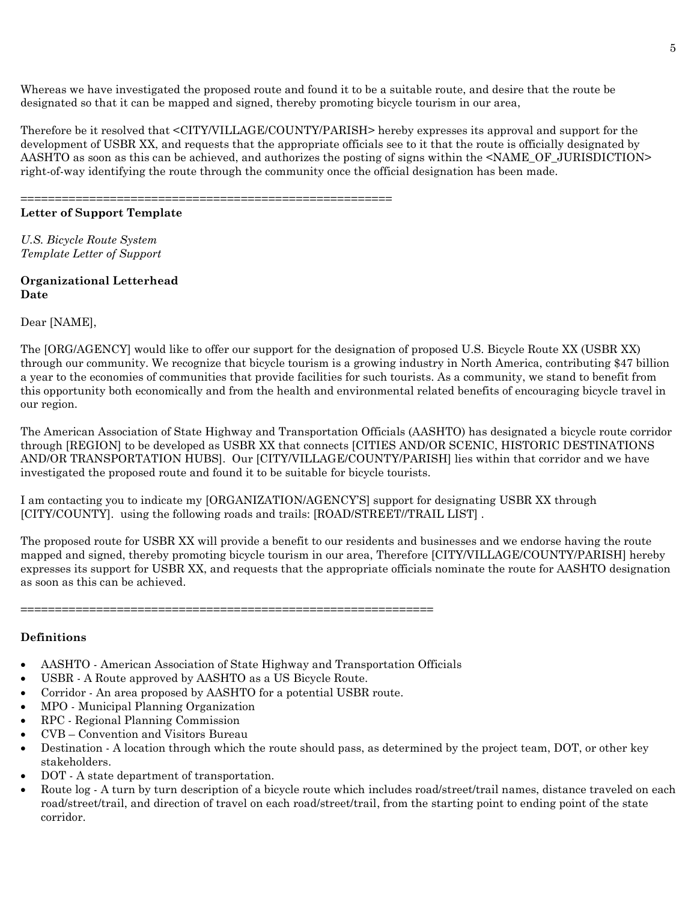Whereas we have investigated the proposed route and found it to be a suitable route, and desire that the route be designated so that it can be mapped and signed, thereby promoting bicycle tourism in our area,

Therefore be it resolved that <CITY/VILLAGE/COUNTY/PARISH> hereby expresses its approval and support for the development of USBR XX, and requests that the appropriate officials see to it that the route is officially designated by AASHTO as soon as this can be achieved, and authorizes the posting of signs within the <NAME\_OF\_JURISDICTION> right-of-way identifying the route through the community once the official designation has been made.

======================================================

## **Letter of Support Template**

*U.S. Bicycle Route System Template Letter of Support*

### **Organizational Letterhead Date**

Dear [NAME],

The [ORG/AGENCY] would like to offer our support for the designation of proposed U.S. Bicycle Route XX (USBR XX) through our community. We recognize that bicycle tourism is a growing industry in North America, contributing \$47 billion a year to the economies of communities that provide facilities for such tourists. As a community, we stand to benefit from this opportunity both economically and from the health and environmental related benefits of encouraging bicycle travel in our region.

The American Association of State Highway and Transportation Officials (AASHTO) has designated a bicycle route corridor through [REGION] to be developed as USBR XX that connects [CITIES AND/OR SCENIC, HISTORIC DESTINATIONS AND/OR TRANSPORTATION HUBS]. Our [CITY/VILLAGE/COUNTY/PARISH] lies within that corridor and we have investigated the proposed route and found it to be suitable for bicycle tourists.

I am contacting you to indicate my [ORGANIZATION/AGENCY'S] support for designating USBR XX through [CITY/COUNTY]. using the following roads and trails: [ROAD/STREET//TRAIL LIST] .

The proposed route for USBR XX will provide a benefit to our residents and businesses and we endorse having the route mapped and signed, thereby promoting bicycle tourism in our area, Therefore [CITY/VILLAGE/COUNTY/PARISH] hereby expresses its support for USBR XX, and requests that the appropriate officials nominate the route for AASHTO designation as soon as this can be achieved.

============================================================

### **Definitions**

- AASHTO American Association of State Highway and Transportation Officials
- USBR A Route approved by AASHTO as a US Bicycle Route.
- Corridor An area proposed by AASHTO for a potential USBR route.
- MPO Municipal Planning Organization
- RPC Regional Planning Commission
- CVB Convention and Visitors Bureau
- Destination A location through which the route should pass, as determined by the project team, DOT, or other key stakeholders.
- DOT A state department of transportation.
- Route log A turn by turn description of a bicycle route which includes road/street/trail names, distance traveled on each road/street/trail, and direction of travel on each road/street/trail, from the starting point to ending point of the state corridor.